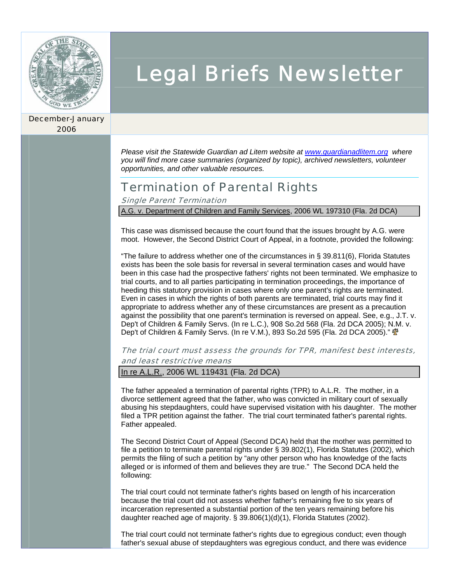

December-January 2006

# Legal Briefs Newsletter

*Please visit the Statewide Guardian ad Litem website at www.guardianadlitem.org where you will find more case summaries (organized by topic), archived newsletters, volunteer opportunities, and other valuable resources.* 

## Termination of Parental Rights

Single Parent Termination

A.G. v. Department of Children and Family Services, 2006 WL 197310 (Fla. 2d DCA)

This case was dismissed because the court found that the issues brought by A.G. were moot. However, the Second District Court of Appeal, in a footnote, provided the following:

"The failure to address whether one of the circumstances in § 39.811(6), Florida Statutes exists has been the sole basis for reversal in several termination cases and would have been in this case had the prospective fathers' rights not been terminated. We emphasize to trial courts, and to all parties participating in termination proceedings, the importance of heeding this statutory provision in cases where only one parent's rights are terminated. Even in cases in which the rights of both parents are terminated, trial courts may find it appropriate to address whether any of these circumstances are present as a precaution against the possibility that one parent's termination is reversed on appeal. See, e.g., J.T. v. Dep't of Children & Family Servs. (In re L.C.), 908 So.2d 568 (Fla. 2d DCA 2005); N.M. v. Dep't of Children & Family Servs. (In re V.M.), 893 So.2d 595 (Fla. 2d DCA 2005)."  $\mathbf{\Phi}$ 

The trial court must assess the grounds for TPR, manifest best interests, and least restrictive means

In re A.L.R., 2006 WL 119431 (Fla. 2d DCA)

The father appealed a termination of parental rights (TPR) to A.L.R. The mother, in a divorce settlement agreed that the father, who was convicted in military court of sexually abusing his stepdaughters, could have supervised visitation with his daughter. The mother filed a TPR petition against the father. The trial court terminated father's parental rights. Father appealed.

The Second District Court of Appeal (Second DCA) held that the mother was permitted to file a petition to terminate parental rights under § 39.802(1), Florida Statutes (2002), which permits the filing of such a petition by "any other person who has knowledge of the facts alleged or is informed of them and believes they are true." The Second DCA held the following:

The trial court could not terminate father's rights based on length of his incarceration because the trial court did not assess whether father's remaining five to six years of incarceration represented a substantial portion of the ten years remaining before his daughter reached age of majority. § 39.806(1)(d)(1), Florida Statutes (2002).

The trial court could not terminate father's rights due to egregious conduct; even though father's sexual abuse of stepdaughters was egregious conduct, and there was evidence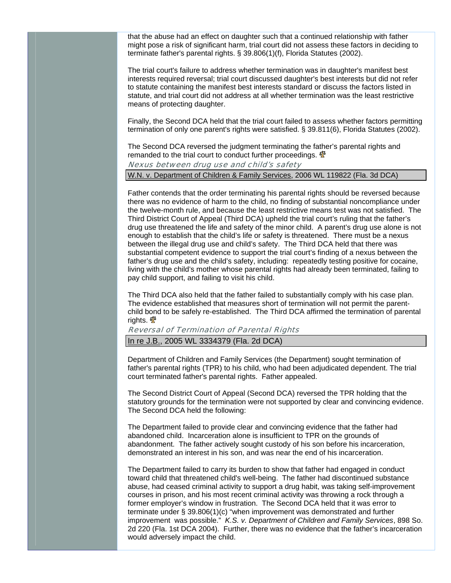that the abuse had an effect on daughter such that a continued relationship with father might pose a risk of significant harm, trial court did not assess these factors in deciding to terminate father's parental rights. § 39.806(1)(f), Florida Statutes (2002).

The trial court's failure to address whether termination was in daughter's manifest best interests required reversal; trial court discussed daughter's best interests but did not refer to statute containing the manifest best interests standard or discuss the factors listed in statute, and trial court did not address at all whether termination was the least restrictive means of protecting daughter.

Finally, the Second DCA held that the trial court failed to assess whether factors permitting termination of only one parent's rights were satisfied. § 39.811(6), Florida Statutes (2002).

The Second DCA reversed the judgment terminating the father's parental rights and remanded to the trial court to conduct further proceedings.  $\mathbf{\Phi}$ 

#### Nexus between drug use and child's safety

W.N. v. Department of Children & Family Services, 2006 WL 119822 (Fla. 3d DCA)

Father contends that the order terminating his parental rights should be reversed because there was no evidence of harm to the child, no finding of substantial noncompliance under the twelve-month rule, and because the least restrictive means test was not satisfied. The Third District Court of Appeal (Third DCA) upheld the trial court's ruling that the father's drug use threatened the life and safety of the minor child. A parent's drug use alone is not enough to establish that the child's life or safety is threatened. There must be a nexus between the illegal drug use and child's safety. The Third DCA held that there was substantial competent evidence to support the trial court's finding of a nexus between the father's drug use and the child's safety, including: repeatedly testing positive for cocaine, living with the child's mother whose parental rights had already been terminated, failing to pay child support, and failing to visit his child.

The Third DCA also held that the father failed to substantially comply with his case plan. The evidence established that measures short of termination will not permit the parentchild bond to be safely re-established. The Third DCA affirmed the termination of parental rights.  $\mathbf{\Phi}$ 

#### Reversal of Termination of Parental Rights

In re J.B., 2005 WL 3334379 (Fla. 2d DCA)

Department of Children and Family Services (the Department) sought termination of father's parental rights (TPR) to his child, who had been adjudicated dependent. The trial court terminated father's parental rights. Father appealed.

The Second District Court of Appeal (Second DCA) reversed the TPR holding that the statutory grounds for the termination were not supported by clear and convincing evidence. The Second DCA held the following:

The Department failed to provide clear and convincing evidence that the father had abandoned child. Incarceration alone is insufficient to TPR on the grounds of abandonment. The father actively sought custody of his son before his incarceration, demonstrated an interest in his son, and was near the end of his incarceration.

The Department failed to carry its burden to show that father had engaged in conduct toward child that threatened child's well-being. The father had discontinued substance abuse, had ceased criminal activity to support a drug habit, was taking self-improvement courses in prison, and his most recent criminal activity was throwing a rock through a former employer's window in frustration. The Second DCA held that it was error to terminate under § 39.806(1)(c) "when improvement was demonstrated and further improvement was possible." *K.S. v. Department of Children and Family Services*, 898 So. 2d 220 (Fla. 1st DCA 2004). Further, there was no evidence that the father's incarceration would adversely impact the child.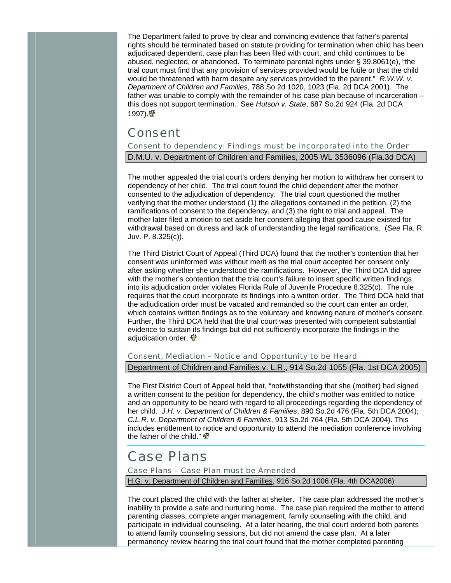The Department failed to prove by clear and convincing evidence that father's parental rights should be terminated based on statute providing for termination when child has been adjudicated dependent, case plan has been filed with court, and child continues to be abused, neglected, or abandoned. To terminate parental rights under § 39.8061(e), "the trial court must find that any provision of services provided would be futile or that the child would be threatened with harm despite any services provided to the parent." *R.W.W. v. Department of Children and Families*, 788 So 2d 1020, 1023 (Fla. 2d DCA 2001). The father was unable to comply with the remainder of his case plan because of incarceration – this does not support termination. See *Hutson v. State*, 687 So.2d 924 (Fla. 2d DCA 1997).  $\frac{4}{3}$ 

### Consent

Consent to dependency: Findings must be incorporated into the Order D.M.U. v. Department of Children and Families, 2005 WL 3536096 (Fla.3d DCA)

The mother appealed the trial court's orders denying her motion to withdraw her consent to dependency of her child. The trial court found the child dependent after the mother consented to the adjudication of dependency. The trial court questioned the mother verifying that the mother understood (1) the allegations contained in the petition, (2) the ramifications of consent to the dependency, and (3) the right to trial and appeal. The mother later filed a motion to set aside her consent alleging that good cause existed for withdrawal based on duress and lack of understanding the legal ramifications. (*See* Fla. R. Juv. P. 8.325(c)).

The Third District Court of Appeal (Third DCA) found that the mother's contention that her consent was uninformed was without merit as the trial court accepted her consent only after asking whether she understood the ramifications. However, the Third DCA did agree with the mother's contention that the trial court's failure to insert specific written findings into its adjudication order violates Florida Rule of Juvenile Procedure 8.325(c). The rule requires that the court incorporate its findings into a written order. The Third DCA held that the adjudication order must be vacated and remanded so the court can enter an order, which contains written findings as to the voluntary and knowing nature of mother's consent. Further, the Third DCA held that the trial court was presented with competent substantial evidence to sustain its findings but did not sufficiently incorporate the findings in the adjudication order.  $\mathbf{\Phi}$ 

Consent, Mediation – Notice and Opportunity to be Heard Department of Children and Families v. L.R., 914 So.2d 1055 (Fla. 1st DCA 2005)

The First District Court of Appeal held that, "notwithstanding that she (mother) had signed a written consent to the petition for dependency, the child's mother was entitled to notice and an opportunity to be heard with regard to all proceedings regarding the dependency of her child. *J.H. v. Department of Children & Families*, 890 So.2d 476 (Fla. 5th DCA 2004); *C.L.R. v. Department of Children & Families*, 913 So.2d 764 (Fla. 5th DCA 2004). This includes entitlement to notice and opportunity to attend the mediation conference involving the father of the child."  $\Phi$ 

## Case Plans

Case Plans – Case Plan must be Amended

H.G. v. Department of Children and Families, 916 So.2d 1006 (Fla. 4th DCA2006)

The court placed the child with the father at shelter. The case plan addressed the mother's inability to provide a safe and nurturing home. The case plan required the mother to attend parenting classes, complete anger management, family counseling with the child, and participate in individual counseling. At a later hearing, the trial court ordered both parents to attend family counseling sessions, but did not amend the case plan. At a later permanency review hearing the trial court found that the mother completed parenting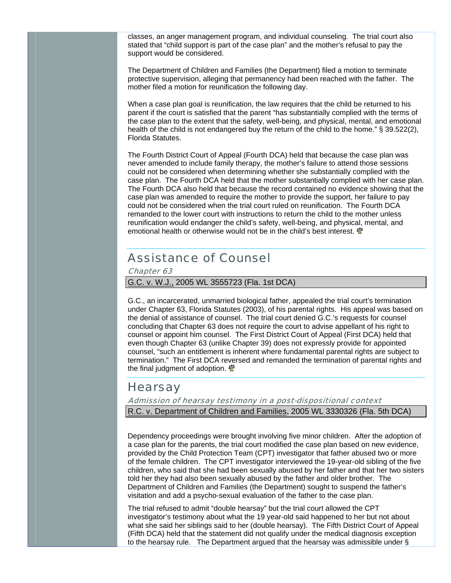classes, an anger management program, and individual counseling. The trial court also stated that "child support is part of the case plan" and the mother's refusal to pay the support would be considered.

The Department of Children and Families (the Department) filed a motion to terminate protective supervision, alleging that permanency had been reached with the father. The mother filed a motion for reunification the following day.

When a case plan goal is reunification, the law requires that the child be returned to his parent if the court is satisfied that the parent "has substantially complied with the terms of the case plan to the extent that the safety, well-being, and physical, mental, and emotional health of the child is not endangered buy the return of the child to the home." § 39.522(2), Florida Statutes.

The Fourth District Court of Appeal (Fourth DCA) held that because the case plan was never amended to include family therapy, the mother's failure to attend those sessions could not be considered when determining whether she substantially complied with the case plan. The Fourth DCA held that the mother substantially complied with her case plan. The Fourth DCA also held that because the record contained no evidence showing that the case plan was amended to require the mother to provide the support, her failure to pay could not be considered when the trial court ruled on reunification. The Fourth DCA remanded to the lower court with instructions to return the child to the mother unless reunification would endanger the child's safety, well-being, and physical, mental, and emotional health or otherwise would not be in the child's best interest.  $\Phi$ 

## Assistance of Counsel

Chapter 63

G.C. v. W.J., 2005 WL 3555723 (Fla. 1st DCA)

G.C., an incarcerated, unmarried biological father, appealed the trial court's termination under Chapter 63, Florida Statutes (2003), of his parental rights. His appeal was based on the denial of assistance of counsel. The trial court denied G.C.'s requests for counsel concluding that Chapter 63 does not require the court to advise appellant of his right to counsel or appoint him counsel. The First District Court of Appeal (First DCA) held that even though Chapter 63 (unlike Chapter 39) does not expressly provide for appointed counsel, "such an entitlement is inherent where fundamental parental rights are subject to termination." The First DCA reversed and remanded the termination of parental rights and the final judgment of adoption.  $\Phi$ 

#### Hearsay

Admission of hearsay testimony in a post-dispositional context R.C. v. Department of Children and Families, 2005 WL 3330326 (Fla. 5th DCA)

Dependency proceedings were brought involving five minor children. After the adoption of a case plan for the parents, the trial court modified the case plan based on new evidence, provided by the Child Protection Team (CPT) investigator that father abused two or more of the female children. The CPT investigator interviewed the 19-year-old sibling of the five children, who said that she had been sexually abused by her father and that her two sisters told her they had also been sexually abused by the father and older brother. The Department of Children and Families (the Department) sought to suspend the father's visitation and add a psycho-sexual evaluation of the father to the case plan.

The trial refused to admit "double hearsay" but the trial court allowed the CPT investigator's testimony about what the 19 year-old said happened to her but not about what she said her siblings said to her (double hearsay). The Fifth District Court of Appeal (Fifth DCA) held that the statement did not qualify under the medical diagnosis exception to the hearsay rule. The Department argued that the hearsay was admissible under §